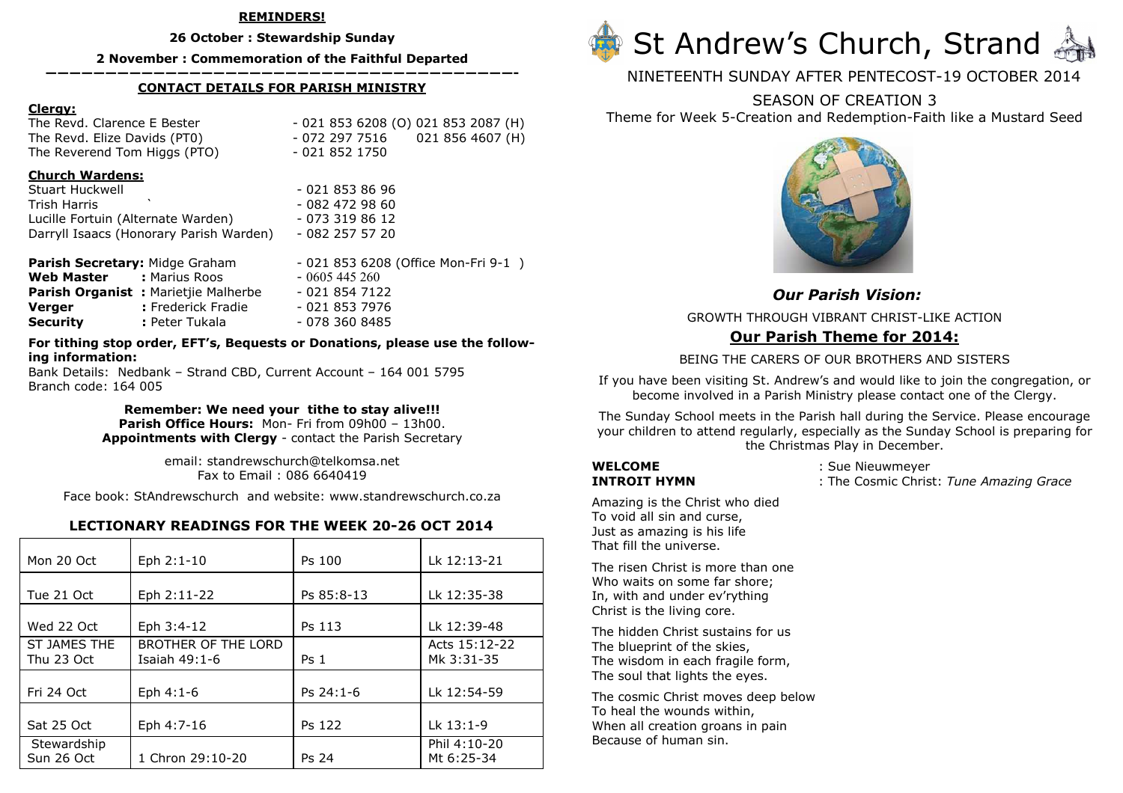### REMINDERS!

26 October : Stewardship Sunday

2 November : Commemoration of the Faithful Departed

### ———————————————————————————————————————- CONTACT DETAILS FOR PARISH MINISTRY

### Clergy:

The Revd. Clarence E Bester The Revd. Elize Davids (PT0) - 072 297 7516 The Reverend Tom Higgs (PTO) - 021 852 1750

 $-0218536208$  (O) 021 853 2087 (H) 021 856 4607 (H)

### Church Wardens:

Stuart Huckwell - 021 853 86 96 Trish Harris ` - 082 472 98 60 Lucille Fortuin (Alternate Warden) Darryll Isaacs (Honorary Parish Warden)

 $-0733198612$  $-0822575720$ 

| Parish Secretary: Midge Graham             | - 021 853 6208 (Office Mon-Fri 9-1) |
|--------------------------------------------|-------------------------------------|
| Web Master<br>: Marius Roos                | $-0605445260$                       |
| <b>Parish Organist:</b> Marietjie Malherbe | - 021 854 7122                      |
| : Frederick Fradie<br>Verger               | - 021 853 7976                      |
| Security<br>: Peter Tukala                 | - 078 360 8485                      |

### For tithing stop order, EFT's, Bequests or Donations, please use the following information:

 Bank Details: Nedbank – Strand CBD, Current Account – 164 001 5795 Branch code: 164 005

> Remember: We need your tithe to stay alive!!! Parish Office Hours: Mon- Fri from 09h00 - 13h00. Appointments with Clergy - contact the Parish Secretary

> > email: standrewschurch@telkomsa.net Fax to Email : 086 6640419

Face book: StAndrewschurch and website: www.standrewschurch.co.za

## LECTIONARY READINGS FOR THE WEEK 20-26 OCT 2014

| Mon 20 Oct                 | Eph 2:1-10                           | Ps 100          | Lk 12:13-21                 |
|----------------------------|--------------------------------------|-----------------|-----------------------------|
| Tue 21 Oct                 | Eph 2:11-22                          | Ps 85:8-13      | Lk 12:35-38                 |
| Wed 22 Oct                 | Eph 3:4-12                           | Ps 113          | Lk 12:39-48                 |
| ST JAMES THE<br>Thu 23 Oct | BROTHER OF THE LORD<br>Isaiah 49:1-6 | Ps <sub>1</sub> | Acts 15:12-22<br>Mk 3:31-35 |
| Fri 24 Oct                 | Eph 4:1-6                            | $Ps 24:1-6$     | Lk 12:54-59                 |
| Sat 25 Oct                 | Eph 4:7-16                           | Ps 122          | Lk 13:1-9                   |
| Stewardship<br>Sun 26 Oct  | 1 Chron 29:10-20                     | Ps 24           | Phil 4:10-20<br>Mt 6:25-34  |



NINETEENTH SUNDAY AFTER PENTECOST-19 OCTOBER 2014

# SEASON OF CREATION 3

Theme for Week 5-Creation and Redemption-Faith like a Mustard Seed



# Our Parish Vision:GROWTH THROUGH VIBRANT CHRIST-LIKE ACTION Our Parish Theme for 2014:

## BEING THE CARERS OF OUR BROTHERS AND SISTERS

If you have been visiting St. Andrew's and would like to join the congregation, or become involved in a Parish Ministry please contact one of the Clergy.

The Sunday School meets in the Parish hall during the Service. Please encourage your children to attend regularly, especially as the Sunday School is preparing for the Christmas Play in December.

**WELCOME** : Sue Nieuwmeyer<br> **INTROIT HYMN** : The Cosmic Chris **INTROIT HYMN** : The Cosmic Christ: Tune Amazing Grace

Amazing is the Christ who died To void all sin and curse, Just as amazing is his life That fill the universe.

The risen Christ is more than one Who waits on some far shore; In, with and under ev'rything Christ is the living core.

The hidden Christ sustains for us The blueprint of the skies, The wisdom in each fragile form, The soul that lights the eyes.

The cosmic Christ moves deep below To heal the wounds within, When all creation groans in pain Because of human sin.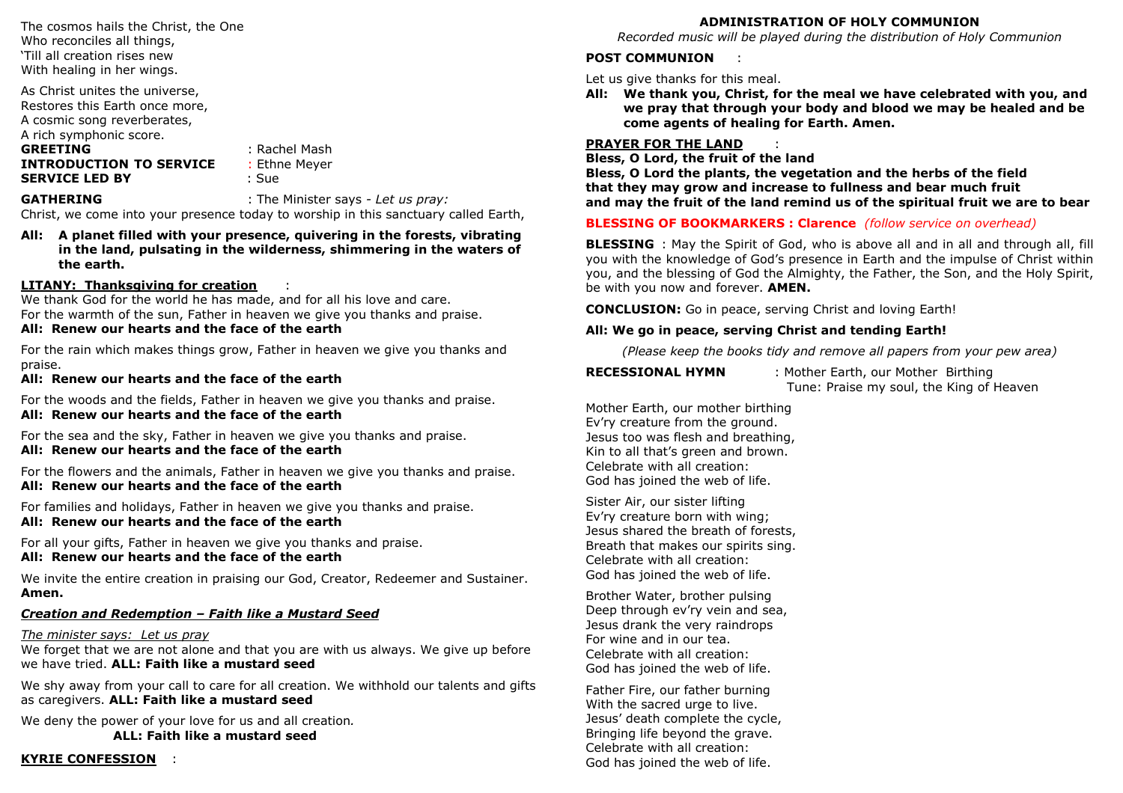The cosmos hails the Christ, the One Who reconciles all things, 'Till all creation rises new With healing in her wings.

As Christ unites the universe, Restores this Earth once more, A cosmic song reverberates, A rich symphonic score.GREETING : Rachel Mash

INTRODUCTION TO SERVICESERVICE LED BY : Sue

**E** : Ethne Meyer

**GATHERING** : The Minister says - Let us pray:

Christ, we come into your presence today to worship in this sanctuary called Earth,

All: A planet filled with your presence, quivering in the forests, vibrating in the land, pulsating in the wilderness, shimmering in the waters of the earth.

# LITANY: Thanksgiving for creation

LIIANY: Inanksgiving for creation intill thanks thanks and care.<br>We thank God for the world he has made, and for all his love and care. For the warmth of the sun, Father in heaven we give you thanks and praise.

## All: Renew our hearts and the face of the earth

For the rain which makes things grow, Father in heaven we give you thanks and praise.

## All: Renew our hearts and the face of the earth

For the woods and the fields, Father in heaven we give you thanks and praise. All: Renew our hearts and the face of the earth

For the sea and the sky, Father in heaven we give you thanks and praise. All: Renew our hearts and the face of the earth

For the flowers and the animals, Father in heaven we give you thanks and praise. All: Renew our hearts and the face of the earth

For families and holidays, Father in heaven we give you thanks and praise. All: Renew our hearts and the face of the earth

For all your gifts, Father in heaven we give you thanks and praise.

# All: Renew our hearts and the face of the earth

We invite the entire creation in praising our God, Creator, Redeemer and Sustainer. Amen.

# Creation and Redemption – Faith like a Mustard Seed

# The minister says: Let us pray

 We forget that we are not alone and that you are with us always. We give up before we have tried. ALL: Faith like a mustard seed

We shy away from your call to care for all creation. We withhold our talents and gifts as caregivers. ALL: Faith like a mustard seed

We deny the power of your love for us and all creation. ALL: Faith like a mustard seed

**KYRIE CONFESSION :** 

# ADMINISTRATION OF HOLY COMMUNION

Recorded music will be played during the distribution of Holy Communion

## POST COMMUNION

Let us give thanks for this meal.

 All: We thank you, Christ, for the meal we have celebrated with you, and we pray that through your body and blood we may be healed and become agents of healing for Earth. Amen.

## PRAYER FOR THE LAND

PRAYER FOR THE LAND **STAYER THE**<br>Bless, O Lord, the fruit of the land

 Bless, O Lord the plants, the vegetation and the herbs of the field that they may grow and increase to fullness and bear much fruit and may the fruit of the land remind us of the spiritual fruit we are to bear

# BLESSING OF BOOKMARKERS : Clarence (follow service on overhead)

**BLESSING** : May the Spirit of God, who is above all and in all and through all, fill you with the knowledge of God's presence in Earth and the impulse of Christ within you, and the blessing of God the Almighty, the Father, the Son, and the Holy Spirit, be with you now and forever. **AMEN.** 

CONCLUSION: Go in peace, serving Christ and loving Earth!

# All: We go in peace, serving Christ and tending Earth!

(Please keep the books tidy and remove all papers from your pew area)

RECESSIONAL HYMN : Mother Earth, our Mother Birthing Tune: Praise my soul, the King of Heaven

Mother Earth, our mother birthing Ev'ry creature from the ground. Jesus too was flesh and breathing, Kin to all that's green and brown. Celebrate with all creation: God has joined the web of life.

Sister Air, our sister lifting Ev'ry creature born with wing; Jesus shared the breath of forests, Breath that makes our spirits sing. Celebrate with all creation: God has joined the web of life.

Brother Water, brother pulsing Deep through ev'ry vein and sea, Jesus drank the very raindrops For wine and in our tea. Celebrate with all creation: God has joined the web of life.

Father Fire, our father burning With the sacred urge to live. Jesus' death complete the cycle, Bringing life beyond the grave. Celebrate with all creation: God has joined the web of life.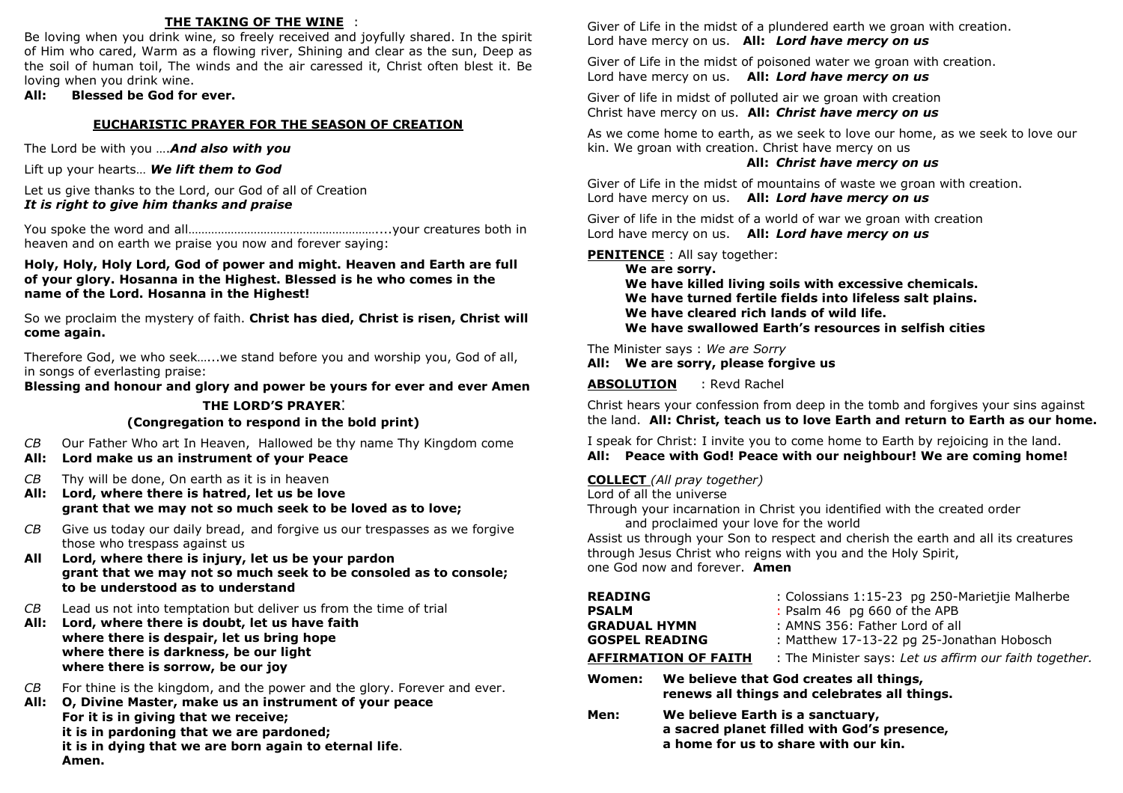# THE TAKING OF THE WINE :

Be loving when you drink wine, so freely received and joyfully shared. In the spirit of Him who cared, Warm as a flowing river, Shining and clear as the sun, Deep as the soil of human toil, The winds and the air caressed it, Christ often blest it. Be loving when you drink wine.

### All: Blessed be God for ever.

### EUCHARISTIC PRAYER FOR THE SEASON OF CREATION

The Lord be with you .... And also with you

Lift up your hearts... We lift them to God

Let us give thanks to the Lord, our God of all of Creation It is right to give him thanks and praise

You spoke the word and all…………………………………………………....your creatures both in heaven and on earth we praise you now and forever saying:

### Holy, Holy, Holy Lord, God of power and might. Heaven and Earth are full of your glory. Hosanna in the Highest. Blessed is he who comes in the name of the Lord. Hosanna in the Highest!

So we proclaim the mystery of faith. Christ has died, Christ is risen, Christ will come again.

Therefore God, we who seek…...we stand before you and worship you, God of all, in songs of everlasting praise:

Blessing and honour and glory and power be yours for ever and ever Amen

### THE LORD'S PRAYER:

### (Congregation to respond in the bold print)

- CB Our Father Who art In Heaven, Hallowed be thy name Thy Kingdom come
- All: Lord make us an instrument of your Peace
- $CB$  Thy will be done, On earth as it is in heaven
- All: Lord, where there is hatred, let us be love grant that we may not so much seek to be loved as to love;
- CB Give us today our daily bread, and forgive us our trespasses as we forgive those who trespass against us
- All Lord, where there is injury, let us be your pardon grant that we may not so much seek to be consoled as to console; to be understood as to understand
- $CB$  Lead us not into temptation but deliver us from the time of trial
- All: Lord, where there is doubt, let us have faith where there is despair, let us bring hope where there is darkness, be our light where there is sorrow, be our joy
- CB For thine is the kingdom, and the power and the glory. Forever and ever.
- All: O, Divine Master, make us an instrument of your peace For it is in giving that we receive; it is in pardoning that we are pardoned; it is in dying that we are born again to eternal life. Amen.

Giver of Life in the midst of a plundered earth we groan with creation. Lord have mercy on us. All: Lord have mercy on us

Giver of Life in the midst of poisoned water we groan with creation. Lord have mercy on us. All: Lord have mercy on us

Giver of life in midst of polluted air we groan with creation Christ have mercy on us. All: Christ have mercy on us

As we come home to earth, as we seek to love our home, as we seek to love our kin. We groan with creation. Christ have mercy on us

### All: Christ have mercy on us

Giver of Life in the midst of mountains of waste we groan with creation. Lord have mercy on us. All: Lord have mercy on us

Giver of life in the midst of a world of war we groan with creation Lord have mercy on us. All: Lord have mercy on us

**PENITENCE** : All say together:

 We are sorry. We have killed living soils with excessive chemicals. We have turned fertile fields into lifeless salt plains. We have cleared rich lands of wild life. We have swallowed Earth's resources in selfish cities

The Minister says : We are Sorry All: We are sorry, please forgive us

ABSOLUTION: Revd Rachel

Christ hears your confession from deep in the tomb and forgives your sins against the land. All: Christ, teach us to love Earth and return to Earth as our home.

I speak for Christ: I invite you to come home to Earth by rejoicing in the land. All: Peace with God! Peace with our neighbour! We are coming home!

### COLLECT (All pray together)

Lord of all the universe

 Through your incarnation in Christ you identified with the created order and proclaimed your love for the world

 Assist us through your Son to respect and cherish the earth and all its creatures through Jesus Christ who reigns with you and the Holy Spirit, one God now and forever. Amen

| <b>READING</b><br><b>PSALM</b><br><b>GRADUAL HYMN</b><br><b>GOSPEL READING</b>                    | <b>AFFIRMATION OF FAITH</b> | : Colossians 1:15-23 pg 250-Marietjie Malherbe<br>: Psalm 46 pg 660 of the APB<br>: AMNS 356: Father Lord of all<br>: Matthew 17-13-22 pg 25-Jonathan Hobosch<br>: The Minister says: Let us affirm our faith together. |
|---------------------------------------------------------------------------------------------------|-----------------------------|-------------------------------------------------------------------------------------------------------------------------------------------------------------------------------------------------------------------------|
| We believe that God creates all things,<br>Women:<br>renews all things and celebrates all things. |                             |                                                                                                                                                                                                                         |
| Men:                                                                                              |                             | We believe Earth is a sanctuary,<br>a sacred planet filled with God's presence,                                                                                                                                         |

a home for us to share with our kin.